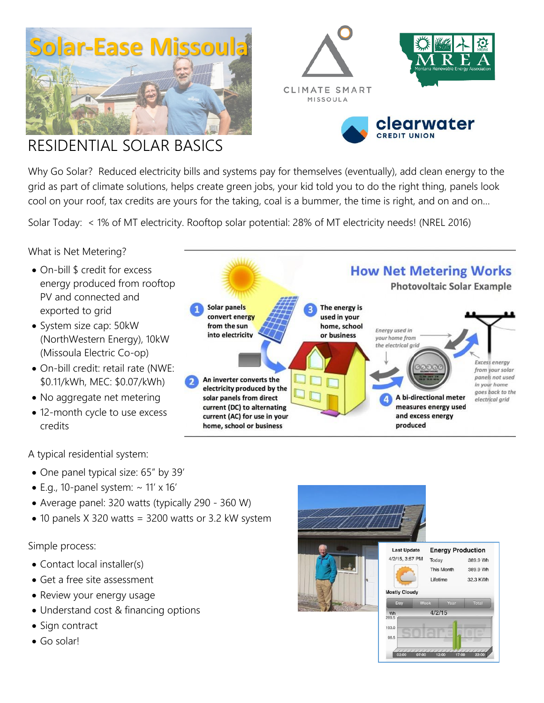





**How Net Metering Works** 

**Photovoltaic Solar Example** 

# RESIDENTIAL SOLAR BASICS

Why Go Solar? Reduced electricity bills and systems pay for themselves (eventually), add clean energy to the grid as part of climate solutions, helps create green jobs, your kid told you to do the right thing, panels look cool on your roof, tax credits are yours for the taking, coal is a bummer, the time is right, and on and on…

Solar Today: < 1% of MT electricity. Rooftop solar potential: 28% of MT electricity needs! (NREL 2016)

## What is Net Metering?

- On-bill \$ credit for excess energy produced from rooftop PV and connected and exported to grid
- System size cap: 50kW (NorthWestern Energy), 10kW (Missoula Electric Co-op)
- On-bill credit: retail rate (NWE: \$0.11/kWh, MEC: \$0.07/kWh)
- No aggregate net metering
- 12-month cycle to use excess credits

Solar panels The energy is convert energy used in your from the sun home, school Energy used in into electricity or business your home from the electrical grid Excess energy from your solar panels not used An inverter converts the in your home electricity produced by the goes back to the A bi-directional meter solar panels from direct electrical grid measures energy used current (DC) to alternating current (AC) for use in your and excess energy produced home, school or business

A typical residential system:

- One panel typical size: 65" by 39'
- $\bullet$  E.g., 10-panel system:  $\sim$  11' x 16'
- Average panel: 320 watts (typically 290 360 W)
- 10 panels X 320 watts = 3200 watts or 3.2 kW system

#### Simple process:

- Contact local installer(s)
- Get a free site assessment
- Review your energy usage
- Understand cost & financing options
- Sign contract
- Go solar!

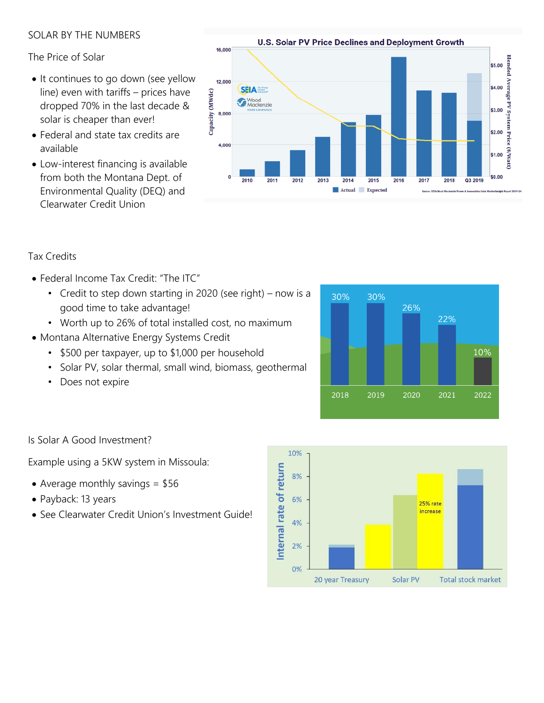## SOLAR BY THE NUMBERS

### The Price of Solar

- It continues to go down (see yellow line) even with tariffs – prices have dropped 70% in the last decade & solar is cheaper than ever!
- Federal and state tax credits are available
- Low-interest financing is available from both the Montana Dept. of Environmental Quality (DEQ) and Clearwater Credit Union



## Tax Credits

- Federal Income Tax Credit: "The ITC"
	- Credit to step down starting in 2020 (see right) now is a good time to take advantage!
	- Worth up to 26% of total installed cost, no maximum
- Montana Alternative Energy Systems Credit
	- \$500 per taxpayer, up to \$1,000 per household
	- Solar PV, solar thermal, small wind, biomass, geothermal
	- Does not expire



#### Is Solar A Good Investment?

Example using a 5KW system in Missoula:

- Average monthly savings  $=$  \$56
- Payback: 13 years
- See Clearwater Credit Union's Investment Guide!

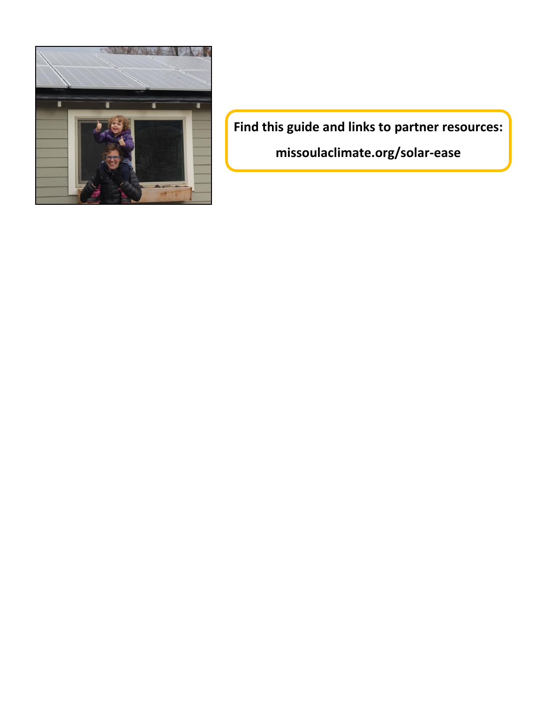

**Find this guide and links to partner resources: missoulaclimate.org/solar-ease**